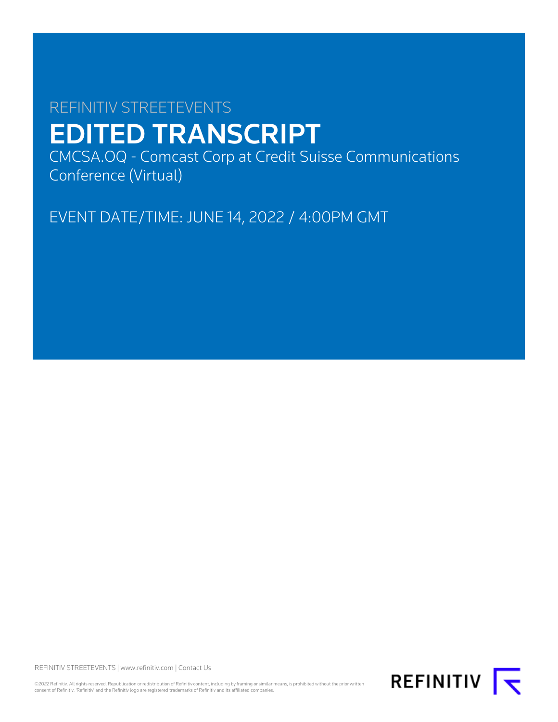# REFINITIV STREETEVENTS EDITED TRANSCRIPT

CMCSA.OQ - Comcast Corp at Credit Suisse Communications Conference (Virtual)

EVENT DATE/TIME: JUNE 14, 2022 / 4:00PM GMT

REFINITIV STREETEVENTS | [www.refinitiv.com](https://www.refinitiv.com/) | [Contact Us](https://www.refinitiv.com/en/contact-us)

©2022 Refinitiv. All rights reserved. Republication or redistribution of Refinitiv content, including by framing or similar means, is prohibited without the prior written<br>consent of Refinitiv. 'Refinitiv' and the Refinitiv

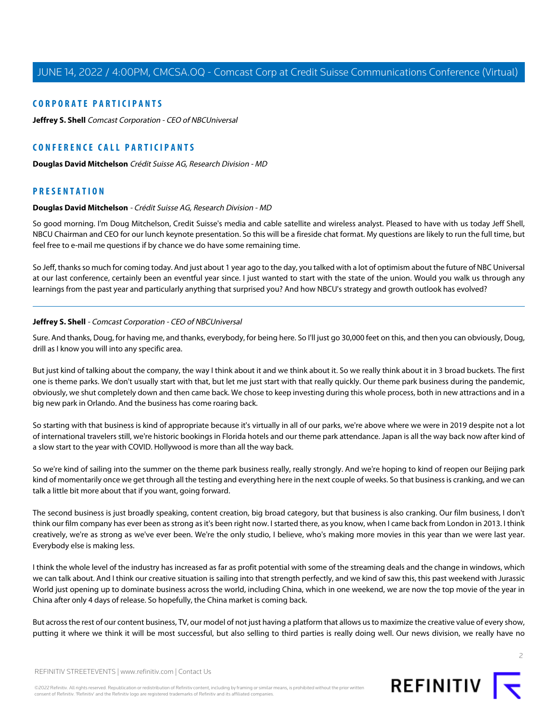#### **CORPORATE PARTICIPANTS**

**[Jeffrey S. Shell](#page-1-0)** Comcast Corporation - CEO of NBCUniversal

## **CONFERENCE CALL PARTICIPANTS**

**[Douglas David Mitchelson](#page-1-1)** Crédit Suisse AG, Research Division - MD

## <span id="page-1-1"></span>**PRESENTATION**

#### **Douglas David Mitchelson** - Crédit Suisse AG, Research Division - MD

So good morning. I'm Doug Mitchelson, Credit Suisse's media and cable satellite and wireless analyst. Pleased to have with us today Jeff Shell, NBCU Chairman and CEO for our lunch keynote presentation. So this will be a fireside chat format. My questions are likely to run the full time, but feel free to e-mail me questions if by chance we do have some remaining time.

<span id="page-1-0"></span>So Jeff, thanks so much for coming today. And just about 1 year ago to the day, you talked with a lot of optimism about the future of NBC Universal at our last conference, certainly been an eventful year since. I just wanted to start with the state of the union. Would you walk us through any learnings from the past year and particularly anything that surprised you? And how NBCU's strategy and growth outlook has evolved?

#### **Jeffrey S. Shell** - Comcast Corporation - CEO of NBCUniversal

Sure. And thanks, Doug, for having me, and thanks, everybody, for being here. So I'll just go 30,000 feet on this, and then you can obviously, Doug, drill as I know you will into any specific area.

But just kind of talking about the company, the way I think about it and we think about it. So we really think about it in 3 broad buckets. The first one is theme parks. We don't usually start with that, but let me just start with that really quickly. Our theme park business during the pandemic, obviously, we shut completely down and then came back. We chose to keep investing during this whole process, both in new attractions and in a big new park in Orlando. And the business has come roaring back.

So starting with that business is kind of appropriate because it's virtually in all of our parks, we're above where we were in 2019 despite not a lot of international travelers still, we're historic bookings in Florida hotels and our theme park attendance. Japan is all the way back now after kind of a slow start to the year with COVID. Hollywood is more than all the way back.

So we're kind of sailing into the summer on the theme park business really, really strongly. And we're hoping to kind of reopen our Beijing park kind of momentarily once we get through all the testing and everything here in the next couple of weeks. So that business is cranking, and we can talk a little bit more about that if you want, going forward.

The second business is just broadly speaking, content creation, big broad category, but that business is also cranking. Our film business, I don't think our film company has ever been as strong as it's been right now. I started there, as you know, when I came back from London in 2013. I think creatively, we're as strong as we've ever been. We're the only studio, I believe, who's making more movies in this year than we were last year. Everybody else is making less.

I think the whole level of the industry has increased as far as profit potential with some of the streaming deals and the change in windows, which we can talk about. And I think our creative situation is sailing into that strength perfectly, and we kind of saw this, this past weekend with Jurassic World just opening up to dominate business across the world, including China, which in one weekend, we are now the top movie of the year in China after only 4 days of release. So hopefully, the China market is coming back.

But across the rest of our content business, TV, our model of not just having a platform that allows us to maximize the creative value of every show, putting it where we think it will be most successful, but also selling to third parties is really doing well. Our news division, we really have no

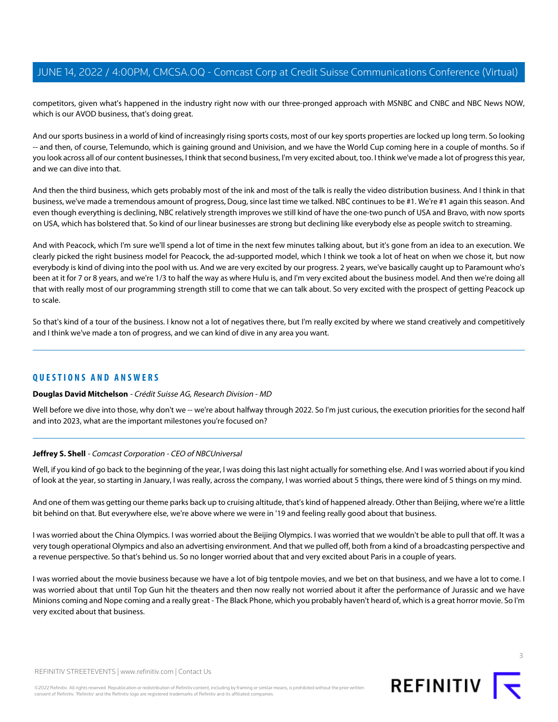competitors, given what's happened in the industry right now with our three-pronged approach with MSNBC and CNBC and NBC News NOW, which is our AVOD business, that's doing great.

And our sports business in a world of kind of increasingly rising sports costs, most of our key sports properties are locked up long term. So looking -- and then, of course, Telemundo, which is gaining ground and Univision, and we have the World Cup coming here in a couple of months. So if you look across all of our content businesses, I think that second business, I'm very excited about, too. I think we've made a lot of progress this year, and we can dive into that.

And then the third business, which gets probably most of the ink and most of the talk is really the video distribution business. And I think in that business, we've made a tremendous amount of progress, Doug, since last time we talked. NBC continues to be #1. We're #1 again this season. And even though everything is declining, NBC relatively strength improves we still kind of have the one-two punch of USA and Bravo, with now sports on USA, which has bolstered that. So kind of our linear businesses are strong but declining like everybody else as people switch to streaming.

And with Peacock, which I'm sure we'll spend a lot of time in the next few minutes talking about, but it's gone from an idea to an execution. We clearly picked the right business model for Peacock, the ad-supported model, which I think we took a lot of heat on when we chose it, but now everybody is kind of diving into the pool with us. And we are very excited by our progress. 2 years, we've basically caught up to Paramount who's been at it for 7 or 8 years, and we're 1/3 to half the way as where Hulu is, and I'm very excited about the business model. And then we're doing all that with really most of our programming strength still to come that we can talk about. So very excited with the prospect of getting Peacock up to scale.

So that's kind of a tour of the business. I know not a lot of negatives there, but I'm really excited by where we stand creatively and competitively and I think we've made a ton of progress, and we can kind of dive in any area you want.

#### **QUESTIONS AND ANSWERS**

#### **Douglas David Mitchelson** - Crédit Suisse AG, Research Division - MD

Well before we dive into those, why don't we -- we're about halfway through 2022. So I'm just curious, the execution priorities for the second half and into 2023, what are the important milestones you're focused on?

#### **Jeffrey S. Shell** - Comcast Corporation - CEO of NBCUniversal

Well, if you kind of go back to the beginning of the year, I was doing this last night actually for something else. And I was worried about if you kind of look at the year, so starting in January, I was really, across the company, I was worried about 5 things, there were kind of 5 things on my mind.

And one of them was getting our theme parks back up to cruising altitude, that's kind of happened already. Other than Beijing, where we're a little bit behind on that. But everywhere else, we're above where we were in '19 and feeling really good about that business.

I was worried about the China Olympics. I was worried about the Beijing Olympics. I was worried that we wouldn't be able to pull that off. It was a very tough operational Olympics and also an advertising environment. And that we pulled off, both from a kind of a broadcasting perspective and a revenue perspective. So that's behind us. So no longer worried about that and very excited about Paris in a couple of years.

I was worried about the movie business because we have a lot of big tentpole movies, and we bet on that business, and we have a lot to come. I was worried about that until Top Gun hit the theaters and then now really not worried about it after the performance of Jurassic and we have Minions coming and Nope coming and a really great - The Black Phone, which you probably haven't heard of, which is a great horror movie. So I'm very excited about that business.



3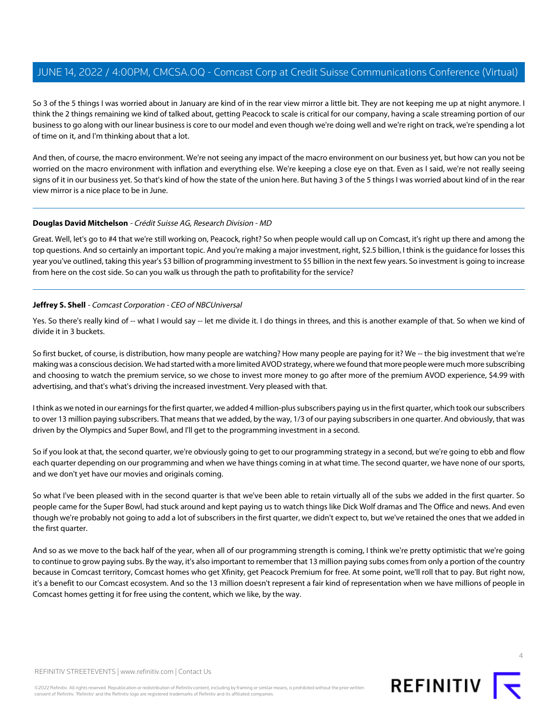So 3 of the 5 things I was worried about in January are kind of in the rear view mirror a little bit. They are not keeping me up at night anymore. I think the 2 things remaining we kind of talked about, getting Peacock to scale is critical for our company, having a scale streaming portion of our business to go along with our linear business is core to our model and even though we're doing well and we're right on track, we're spending a lot of time on it, and I'm thinking about that a lot.

And then, of course, the macro environment. We're not seeing any impact of the macro environment on our business yet, but how can you not be worried on the macro environment with inflation and everything else. We're keeping a close eye on that. Even as I said, we're not really seeing signs of it in our business yet. So that's kind of how the state of the union here. But having 3 of the 5 things I was worried about kind of in the rear view mirror is a nice place to be in June.

#### **Douglas David Mitchelson** - Crédit Suisse AG, Research Division - MD

Great. Well, let's go to #4 that we're still working on, Peacock, right? So when people would call up on Comcast, it's right up there and among the top questions. And so certainly an important topic. And you're making a major investment, right, \$2.5 billion, I think is the guidance for losses this year you've outlined, taking this year's \$3 billion of programming investment to \$5 billion in the next few years. So investment is going to increase from here on the cost side. So can you walk us through the path to profitability for the service?

#### **Jeffrey S. Shell** - Comcast Corporation - CEO of NBCUniversal

Yes. So there's really kind of -- what I would say -- let me divide it. I do things in threes, and this is another example of that. So when we kind of divide it in 3 buckets.

So first bucket, of course, is distribution, how many people are watching? How many people are paying for it? We -- the big investment that we're making was a conscious decision. We had started with a more limited AVOD strategy, where we found that more people were much more subscribing and choosing to watch the premium service, so we chose to invest more money to go after more of the premium AVOD experience, \$4.99 with advertising, and that's what's driving the increased investment. Very pleased with that.

I think as we noted in our earnings for the first quarter, we added 4 million-plus subscribers paying us in the first quarter, which took our subscribers to over 13 million paying subscribers. That means that we added, by the way, 1/3 of our paying subscribers in one quarter. And obviously, that was driven by the Olympics and Super Bowl, and I'll get to the programming investment in a second.

So if you look at that, the second quarter, we're obviously going to get to our programming strategy in a second, but we're going to ebb and flow each quarter depending on our programming and when we have things coming in at what time. The second quarter, we have none of our sports, and we don't yet have our movies and originals coming.

So what I've been pleased with in the second quarter is that we've been able to retain virtually all of the subs we added in the first quarter. So people came for the Super Bowl, had stuck around and kept paying us to watch things like Dick Wolf dramas and The Office and news. And even though we're probably not going to add a lot of subscribers in the first quarter, we didn't expect to, but we've retained the ones that we added in the first quarter.

And so as we move to the back half of the year, when all of our programming strength is coming, I think we're pretty optimistic that we're going to continue to grow paying subs. By the way, it's also important to remember that 13 million paying subs comes from only a portion of the country because in Comcast territory, Comcast homes who get Xfinity, get Peacock Premium for free. At some point, we'll roll that to pay. But right now, it's a benefit to our Comcast ecosystem. And so the 13 million doesn't represent a fair kind of representation when we have millions of people in Comcast homes getting it for free using the content, which we like, by the way.



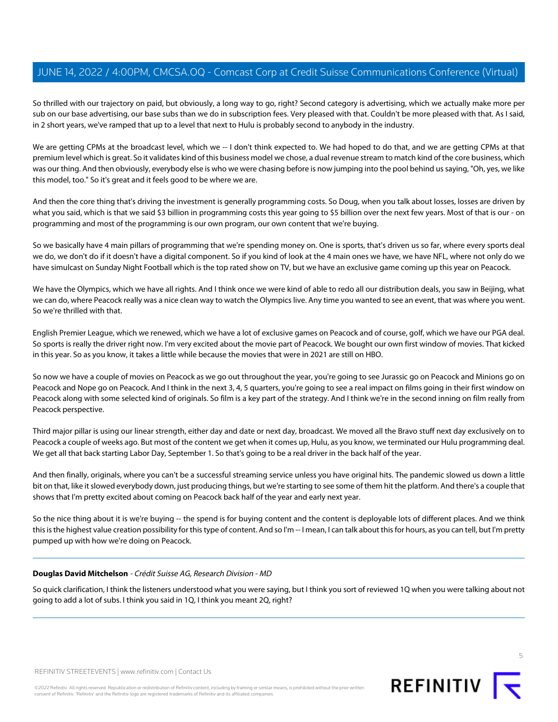So thrilled with our trajectory on paid, but obviously, a long way to go, right? Second category is advertising, which we actually make more per sub on our base advertising, our base subs than we do in subscription fees. Very pleased with that. Couldn't be more pleased with that. As I said, in 2 short years, we've ramped that up to a level that next to Hulu is probably second to anybody in the industry.

We are getting CPMs at the broadcast level, which we -- I don't think expected to. We had hoped to do that, and we are getting CPMs at that premium level which is great. So it validates kind of this business model we chose, a dual revenue stream to match kind of the core business, which was our thing. And then obviously, everybody else is who we were chasing before is now jumping into the pool behind us saying, "Oh, yes, we like this model, too." So it's great and it feels good to be where we are.

And then the core thing that's driving the investment is generally programming costs. So Doug, when you talk about losses, losses are driven by what you said, which is that we said \$3 billion in programming costs this year going to \$5 billion over the next few years. Most of that is our - on programming and most of the programming is our own program, our own content that we're buying.

So we basically have 4 main pillars of programming that we're spending money on. One is sports, that's driven us so far, where every sports deal we do, we don't do if it doesn't have a digital component. So if you kind of look at the 4 main ones we have, we have NFL, where not only do we have simulcast on Sunday Night Football which is the top rated show on TV, but we have an exclusive game coming up this year on Peacock.

We have the Olympics, which we have all rights. And I think once we were kind of able to redo all our distribution deals, you saw in Beijing, what we can do, where Peacock really was a nice clean way to watch the Olympics live. Any time you wanted to see an event, that was where you went. So we're thrilled with that.

English Premier League, which we renewed, which we have a lot of exclusive games on Peacock and of course, golf, which we have our PGA deal. So sports is really the driver right now. I'm very excited about the movie part of Peacock. We bought our own first window of movies. That kicked in this year. So as you know, it takes a little while because the movies that were in 2021 are still on HBO.

So now we have a couple of movies on Peacock as we go out throughout the year, you're going to see Jurassic go on Peacock and Minions go on Peacock and Nope go on Peacock. And I think in the next 3, 4, 5 quarters, you're going to see a real impact on films going in their first window on Peacock along with some selected kind of originals. So film is a key part of the strategy. And I think we're in the second inning on film really from Peacock perspective.

Third major pillar is using our linear strength, either day and date or next day, broadcast. We moved all the Bravo stuff next day exclusively on to Peacock a couple of weeks ago. But most of the content we get when it comes up, Hulu, as you know, we terminated our Hulu programming deal. We get all that back starting Labor Day, September 1. So that's going to be a real driver in the back half of the year.

And then finally, originals, where you can't be a successful streaming service unless you have original hits. The pandemic slowed us down a little bit on that, like it slowed everybody down, just producing things, but we're starting to see some of them hit the platform. And there's a couple that shows that I'm pretty excited about coming on Peacock back half of the year and early next year.

So the nice thing about it is we're buying -- the spend is for buying content and the content is deployable lots of different places. And we think this is the highest value creation possibility for this type of content. And so I'm -- I mean, I can talk about this for hours, as you can tell, but I'm pretty pumped up with how we're doing on Peacock.

#### **Douglas David Mitchelson** - Crédit Suisse AG, Research Division - MD

So quick clarification, I think the listeners understood what you were saying, but I think you sort of reviewed 1Q when you were talking about not going to add a lot of subs. I think you said in 1Q, I think you meant 2Q, right?

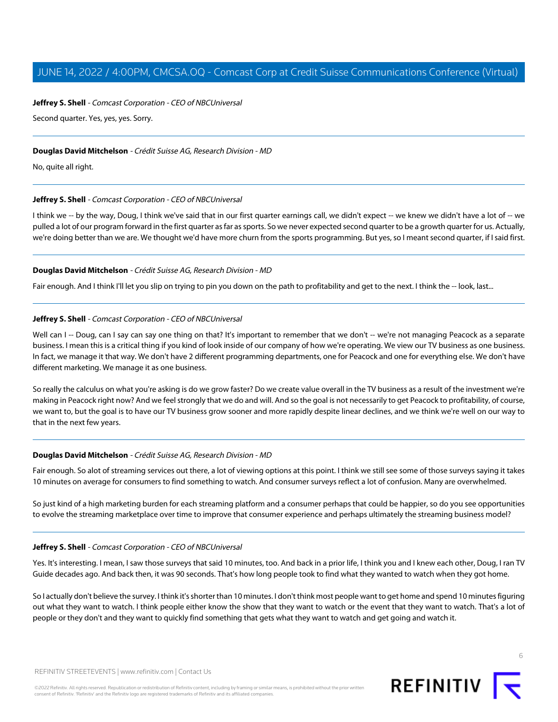#### **Jeffrey S. Shell** - Comcast Corporation - CEO of NBCUniversal

Second quarter. Yes, yes, yes. Sorry.

#### **Douglas David Mitchelson** - Crédit Suisse AG, Research Division - MD

No, quite all right.

#### **Jeffrey S. Shell** - Comcast Corporation - CEO of NBCUniversal

I think we -- by the way, Doug, I think we've said that in our first quarter earnings call, we didn't expect -- we knew we didn't have a lot of -- we pulled a lot of our program forward in the first quarter as far as sports. So we never expected second quarter to be a growth quarter for us. Actually, we're doing better than we are. We thought we'd have more churn from the sports programming. But yes, so I meant second quarter, if I said first.

#### **Douglas David Mitchelson** - Crédit Suisse AG, Research Division - MD

Fair enough. And I think I'll let you slip on trying to pin you down on the path to profitability and get to the next. I think the -- look, last...

#### **Jeffrey S. Shell** - Comcast Corporation - CEO of NBCUniversal

Well can I -- Doug, can I say can say one thing on that? It's important to remember that we don't -- we're not managing Peacock as a separate business. I mean this is a critical thing if you kind of look inside of our company of how we're operating. We view our TV business as one business. In fact, we manage it that way. We don't have 2 different programming departments, one for Peacock and one for everything else. We don't have different marketing. We manage it as one business.

So really the calculus on what you're asking is do we grow faster? Do we create value overall in the TV business as a result of the investment we're making in Peacock right now? And we feel strongly that we do and will. And so the goal is not necessarily to get Peacock to profitability, of course, we want to, but the goal is to have our TV business grow sooner and more rapidly despite linear declines, and we think we're well on our way to that in the next few years.

#### **Douglas David Mitchelson** - Crédit Suisse AG, Research Division - MD

Fair enough. So alot of streaming services out there, a lot of viewing options at this point. I think we still see some of those surveys saying it takes 10 minutes on average for consumers to find something to watch. And consumer surveys reflect a lot of confusion. Many are overwhelmed.

So just kind of a high marketing burden for each streaming platform and a consumer perhaps that could be happier, so do you see opportunities to evolve the streaming marketplace over time to improve that consumer experience and perhaps ultimately the streaming business model?

#### **Jeffrey S. Shell** - Comcast Corporation - CEO of NBCUniversal

Yes. It's interesting. I mean, I saw those surveys that said 10 minutes, too. And back in a prior life, I think you and I knew each other, Doug, I ran TV Guide decades ago. And back then, it was 90 seconds. That's how long people took to find what they wanted to watch when they got home.

So I actually don't believe the survey. I think it's shorter than 10 minutes. I don't think most people want to get home and spend 10 minutes figuring out what they want to watch. I think people either know the show that they want to watch or the event that they want to watch. That's a lot of people or they don't and they want to quickly find something that gets what they want to watch and get going and watch it.

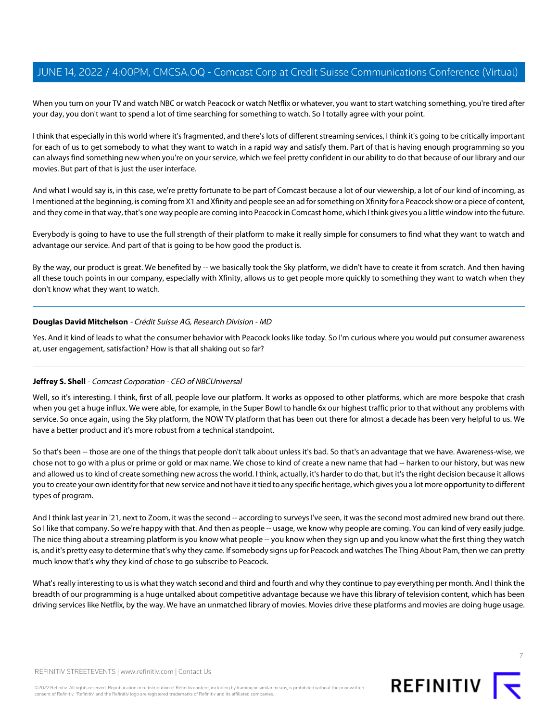When you turn on your TV and watch NBC or watch Peacock or watch Netflix or whatever, you want to start watching something, you're tired after your day, you don't want to spend a lot of time searching for something to watch. So I totally agree with your point.

I think that especially in this world where it's fragmented, and there's lots of different streaming services, I think it's going to be critically important for each of us to get somebody to what they want to watch in a rapid way and satisfy them. Part of that is having enough programming so you can always find something new when you're on your service, which we feel pretty confident in our ability to do that because of our library and our movies. But part of that is just the user interface.

And what I would say is, in this case, we're pretty fortunate to be part of Comcast because a lot of our viewership, a lot of our kind of incoming, as I mentioned at the beginning, is coming from X1 and Xfinity and people see an ad for something on Xfinity for a Peacock show or a piece of content, and they come in that way, that's one way people are coming into Peacock in Comcast home, which I think gives you a little window into the future.

Everybody is going to have to use the full strength of their platform to make it really simple for consumers to find what they want to watch and advantage our service. And part of that is going to be how good the product is.

By the way, our product is great. We benefited by -- we basically took the Sky platform, we didn't have to create it from scratch. And then having all these touch points in our company, especially with Xfinity, allows us to get people more quickly to something they want to watch when they don't know what they want to watch.

#### **Douglas David Mitchelson** - Crédit Suisse AG, Research Division - MD

Yes. And it kind of leads to what the consumer behavior with Peacock looks like today. So I'm curious where you would put consumer awareness at, user engagement, satisfaction? How is that all shaking out so far?

#### **Jeffrey S. Shell** - Comcast Corporation - CEO of NBCUniversal

Well, so it's interesting. I think, first of all, people love our platform. It works as opposed to other platforms, which are more bespoke that crash when you get a huge influx. We were able, for example, in the Super Bowl to handle 6x our highest traffic prior to that without any problems with service. So once again, using the Sky platform, the NOW TV platform that has been out there for almost a decade has been very helpful to us. We have a better product and it's more robust from a technical standpoint.

So that's been -- those are one of the things that people don't talk about unless it's bad. So that's an advantage that we have. Awareness-wise, we chose not to go with a plus or prime or gold or max name. We chose to kind of create a new name that had -- harken to our history, but was new and allowed us to kind of create something new across the world. I think, actually, it's harder to do that, but it's the right decision because it allows you to create your own identity for that new service and not have it tied to any specific heritage, which gives you a lot more opportunity to different types of program.

And I think last year in '21, next to Zoom, it was the second -- according to surveys I've seen, it was the second most admired new brand out there. So I like that company. So we're happy with that. And then as people -- usage, we know why people are coming. You can kind of very easily judge. The nice thing about a streaming platform is you know what people -- you know when they sign up and you know what the first thing they watch is, and it's pretty easy to determine that's why they came. If somebody signs up for Peacock and watches The Thing About Pam, then we can pretty much know that's why they kind of chose to go subscribe to Peacock.

What's really interesting to us is what they watch second and third and fourth and why they continue to pay everything per month. And I think the breadth of our programming is a huge untalked about competitive advantage because we have this library of television content, which has been driving services like Netflix, by the way. We have an unmatched library of movies. Movies drive these platforms and movies are doing huge usage.

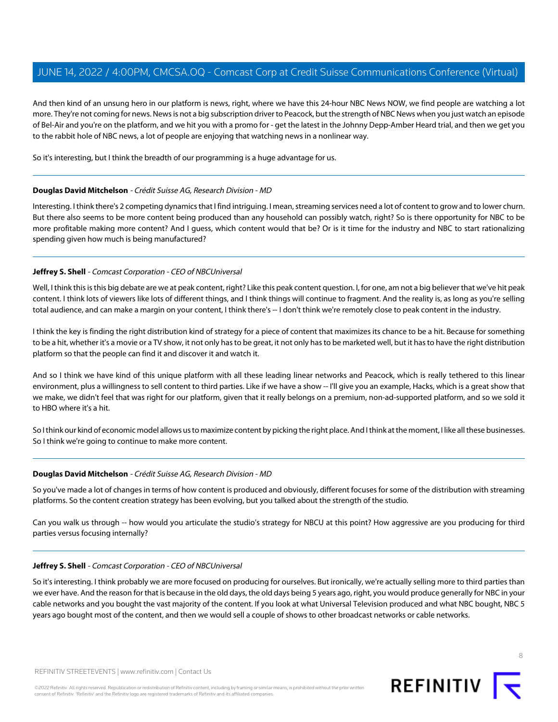And then kind of an unsung hero in our platform is news, right, where we have this 24-hour NBC News NOW, we find people are watching a lot more. They're not coming for news. News is not a big subscription driver to Peacock, but the strength of NBC News when you just watch an episode of Bel-Air and you're on the platform, and we hit you with a promo for - get the latest in the Johnny Depp-Amber Heard trial, and then we get you to the rabbit hole of NBC news, a lot of people are enjoying that watching news in a nonlinear way.

So it's interesting, but I think the breadth of our programming is a huge advantage for us.

#### **Douglas David Mitchelson** - Crédit Suisse AG, Research Division - MD

Interesting. I think there's 2 competing dynamics that I find intriguing. I mean, streaming services need a lot of content to grow and to lower churn. But there also seems to be more content being produced than any household can possibly watch, right? So is there opportunity for NBC to be more profitable making more content? And I guess, which content would that be? Or is it time for the industry and NBC to start rationalizing spending given how much is being manufactured?

#### **Jeffrey S. Shell** - Comcast Corporation - CEO of NBCUniversal

Well, I think this is this big debate are we at peak content, right? Like this peak content question. I, for one, am not a big believer that we've hit peak content. I think lots of viewers like lots of different things, and I think things will continue to fragment. And the reality is, as long as you're selling total audience, and can make a margin on your content, I think there's -- I don't think we're remotely close to peak content in the industry.

I think the key is finding the right distribution kind of strategy for a piece of content that maximizes its chance to be a hit. Because for something to be a hit, whether it's a movie or a TV show, it not only has to be great, it not only has to be marketed well, but it has to have the right distribution platform so that the people can find it and discover it and watch it.

And so I think we have kind of this unique platform with all these leading linear networks and Peacock, which is really tethered to this linear environment, plus a willingness to sell content to third parties. Like if we have a show -- I'll give you an example, Hacks, which is a great show that we make, we didn't feel that was right for our platform, given that it really belongs on a premium, non-ad-supported platform, and so we sold it to HBO where it's a hit.

So I think our kind of economic model allows us to maximize content by picking the right place. And I think at the moment, I like all these businesses. So I think we're going to continue to make more content.

#### **Douglas David Mitchelson** - Crédit Suisse AG, Research Division - MD

So you've made a lot of changes in terms of how content is produced and obviously, different focuses for some of the distribution with streaming platforms. So the content creation strategy has been evolving, but you talked about the strength of the studio.

Can you walk us through -- how would you articulate the studio's strategy for NBCU at this point? How aggressive are you producing for third parties versus focusing internally?

#### **Jeffrey S. Shell** - Comcast Corporation - CEO of NBCUniversal

So it's interesting. I think probably we are more focused on producing for ourselves. But ironically, we're actually selling more to third parties than we ever have. And the reason for that is because in the old days, the old days being 5 years ago, right, you would produce generally for NBC in your cable networks and you bought the vast majority of the content. If you look at what Universal Television produced and what NBC bought, NBC 5 years ago bought most of the content, and then we would sell a couple of shows to other broadcast networks or cable networks.

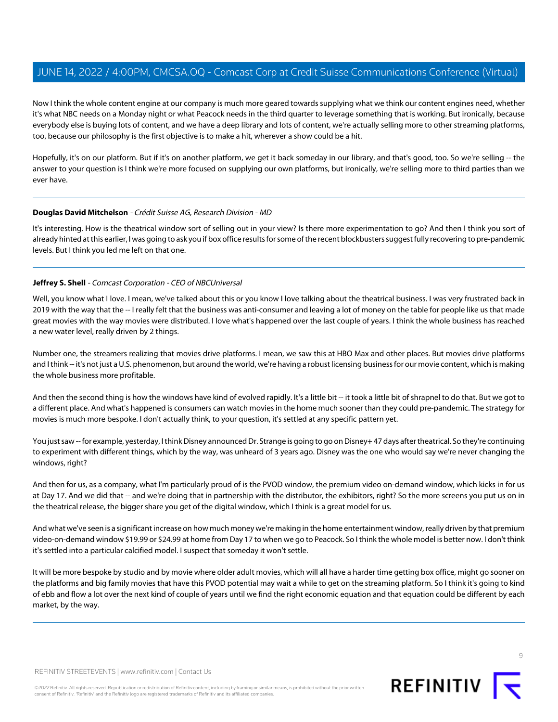Now I think the whole content engine at our company is much more geared towards supplying what we think our content engines need, whether it's what NBC needs on a Monday night or what Peacock needs in the third quarter to leverage something that is working. But ironically, because everybody else is buying lots of content, and we have a deep library and lots of content, we're actually selling more to other streaming platforms, too, because our philosophy is the first objective is to make a hit, wherever a show could be a hit.

Hopefully, it's on our platform. But if it's on another platform, we get it back someday in our library, and that's good, too. So we're selling -- the answer to your question is I think we're more focused on supplying our own platforms, but ironically, we're selling more to third parties than we ever have.

#### **Douglas David Mitchelson** - Crédit Suisse AG, Research Division - MD

It's interesting. How is the theatrical window sort of selling out in your view? Is there more experimentation to go? And then I think you sort of already hinted at this earlier, I was going to ask you if box office results for some of the recent blockbusters suggest fully recovering to pre-pandemic levels. But I think you led me left on that one.

#### **Jeffrey S. Shell** - Comcast Corporation - CEO of NBCUniversal

Well, you know what I love. I mean, we've talked about this or you know I love talking about the theatrical business. I was very frustrated back in 2019 with the way that the -- I really felt that the business was anti-consumer and leaving a lot of money on the table for people like us that made great movies with the way movies were distributed. I love what's happened over the last couple of years. I think the whole business has reached a new water level, really driven by 2 things.

Number one, the streamers realizing that movies drive platforms. I mean, we saw this at HBO Max and other places. But movies drive platforms and I think -- it's not just a U.S. phenomenon, but around the world, we're having a robust licensing business for our movie content, which is making the whole business more profitable.

And then the second thing is how the windows have kind of evolved rapidly. It's a little bit -- it took a little bit of shrapnel to do that. But we got to a different place. And what's happened is consumers can watch movies in the home much sooner than they could pre-pandemic. The strategy for movies is much more bespoke. I don't actually think, to your question, it's settled at any specific pattern yet.

You just saw -- for example, yesterday, I think Disney announced Dr. Strange is going to go on Disney+ 47 days after theatrical. So they're continuing to experiment with different things, which by the way, was unheard of 3 years ago. Disney was the one who would say we're never changing the windows, right?

And then for us, as a company, what I'm particularly proud of is the PVOD window, the premium video on-demand window, which kicks in for us at Day 17. And we did that -- and we're doing that in partnership with the distributor, the exhibitors, right? So the more screens you put us on in the theatrical release, the bigger share you get of the digital window, which I think is a great model for us.

And what we've seen is a significant increase on how much money we're making in the home entertainment window, really driven by that premium video-on-demand window \$19.99 or \$24.99 at home from Day 17 to when we go to Peacock. So I think the whole model is better now. I don't think it's settled into a particular calcified model. I suspect that someday it won't settle.

It will be more bespoke by studio and by movie where older adult movies, which will all have a harder time getting box office, might go sooner on the platforms and big family movies that have this PVOD potential may wait a while to get on the streaming platform. So I think it's going to kind of ebb and flow a lot over the next kind of couple of years until we find the right economic equation and that equation could be different by each market, by the way.



©2022 Refinitiv. All rights reserved. Republication or redistribution of Refinitiv content, including by framing or similar means, is prohibited without the prior written consent of Refinitiv. 'Refinitiv' and the Refinitiv logo are registered trademarks of Refinitiv and its affiliated companies.

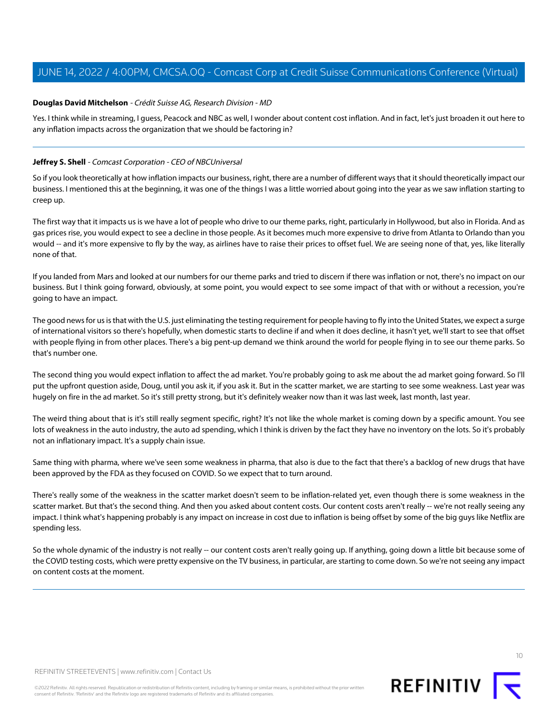#### **Douglas David Mitchelson** - Crédit Suisse AG, Research Division - MD

Yes. I think while in streaming, I guess, Peacock and NBC as well, I wonder about content cost inflation. And in fact, let's just broaden it out here to any inflation impacts across the organization that we should be factoring in?

#### **Jeffrey S. Shell** - Comcast Corporation - CEO of NBCUniversal

So if you look theoretically at how inflation impacts our business, right, there are a number of different ways that it should theoretically impact our business. I mentioned this at the beginning, it was one of the things I was a little worried about going into the year as we saw inflation starting to creep up.

The first way that it impacts us is we have a lot of people who drive to our theme parks, right, particularly in Hollywood, but also in Florida. And as gas prices rise, you would expect to see a decline in those people. As it becomes much more expensive to drive from Atlanta to Orlando than you would -- and it's more expensive to fly by the way, as airlines have to raise their prices to offset fuel. We are seeing none of that, yes, like literally none of that.

If you landed from Mars and looked at our numbers for our theme parks and tried to discern if there was inflation or not, there's no impact on our business. But I think going forward, obviously, at some point, you would expect to see some impact of that with or without a recession, you're going to have an impact.

The good news for us is that with the U.S. just eliminating the testing requirement for people having to fly into the United States, we expect a surge of international visitors so there's hopefully, when domestic starts to decline if and when it does decline, it hasn't yet, we'll start to see that offset with people flying in from other places. There's a big pent-up demand we think around the world for people flying in to see our theme parks. So that's number one.

The second thing you would expect inflation to affect the ad market. You're probably going to ask me about the ad market going forward. So I'll put the upfront question aside, Doug, until you ask it, if you ask it. But in the scatter market, we are starting to see some weakness. Last year was hugely on fire in the ad market. So it's still pretty strong, but it's definitely weaker now than it was last week, last month, last year.

The weird thing about that is it's still really segment specific, right? It's not like the whole market is coming down by a specific amount. You see lots of weakness in the auto industry, the auto ad spending, which I think is driven by the fact they have no inventory on the lots. So it's probably not an inflationary impact. It's a supply chain issue.

Same thing with pharma, where we've seen some weakness in pharma, that also is due to the fact that there's a backlog of new drugs that have been approved by the FDA as they focused on COVID. So we expect that to turn around.

There's really some of the weakness in the scatter market doesn't seem to be inflation-related yet, even though there is some weakness in the scatter market. But that's the second thing. And then you asked about content costs. Our content costs aren't really -- we're not really seeing any impact. I think what's happening probably is any impact on increase in cost due to inflation is being offset by some of the big guys like Netflix are spending less.

So the whole dynamic of the industry is not really -- our content costs aren't really going up. If anything, going down a little bit because some of the COVID testing costs, which were pretty expensive on the TV business, in particular, are starting to come down. So we're not seeing any impact on content costs at the moment.



REFINITIV STREETEVENTS | [www.refinitiv.com](https://www.refinitiv.com/) | [Contact Us](https://www.refinitiv.com/en/contact-us)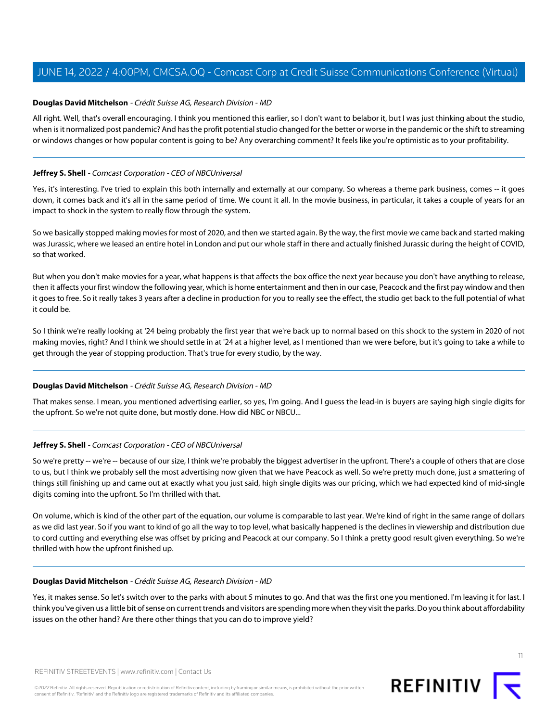#### **Douglas David Mitchelson** - Crédit Suisse AG, Research Division - MD

All right. Well, that's overall encouraging. I think you mentioned this earlier, so I don't want to belabor it, but I was just thinking about the studio, when is it normalized post pandemic? And has the profit potential studio changed for the better or worse in the pandemic or the shift to streaming or windows changes or how popular content is going to be? Any overarching comment? It feels like you're optimistic as to your profitability.

#### **Jeffrey S. Shell** - Comcast Corporation - CEO of NBCUniversal

Yes, it's interesting. I've tried to explain this both internally and externally at our company. So whereas a theme park business, comes -- it goes down, it comes back and it's all in the same period of time. We count it all. In the movie business, in particular, it takes a couple of years for an impact to shock in the system to really flow through the system.

So we basically stopped making movies for most of 2020, and then we started again. By the way, the first movie we came back and started making was Jurassic, where we leased an entire hotel in London and put our whole staff in there and actually finished Jurassic during the height of COVID, so that worked.

But when you don't make movies for a year, what happens is that affects the box office the next year because you don't have anything to release, then it affects your first window the following year, which is home entertainment and then in our case, Peacock and the first pay window and then it goes to free. So it really takes 3 years after a decline in production for you to really see the effect, the studio get back to the full potential of what it could be.

So I think we're really looking at '24 being probably the first year that we're back up to normal based on this shock to the system in 2020 of not making movies, right? And I think we should settle in at '24 at a higher level, as I mentioned than we were before, but it's going to take a while to get through the year of stopping production. That's true for every studio, by the way.

#### **Douglas David Mitchelson** - Crédit Suisse AG, Research Division - MD

That makes sense. I mean, you mentioned advertising earlier, so yes, I'm going. And I guess the lead-in is buyers are saying high single digits for the upfront. So we're not quite done, but mostly done. How did NBC or NBCU...

#### **Jeffrey S. Shell** - Comcast Corporation - CEO of NBCUniversal

So we're pretty -- we're -- because of our size, I think we're probably the biggest advertiser in the upfront. There's a couple of others that are close to us, but I think we probably sell the most advertising now given that we have Peacock as well. So we're pretty much done, just a smattering of things still finishing up and came out at exactly what you just said, high single digits was our pricing, which we had expected kind of mid-single digits coming into the upfront. So I'm thrilled with that.

On volume, which is kind of the other part of the equation, our volume is comparable to last year. We're kind of right in the same range of dollars as we did last year. So if you want to kind of go all the way to top level, what basically happened is the declines in viewership and distribution due to cord cutting and everything else was offset by pricing and Peacock at our company. So I think a pretty good result given everything. So we're thrilled with how the upfront finished up.

#### **Douglas David Mitchelson** - Crédit Suisse AG, Research Division - MD

Yes, it makes sense. So let's switch over to the parks with about 5 minutes to go. And that was the first one you mentioned. I'm leaving it for last. I think you've given us a little bit of sense on current trends and visitors are spending more when they visit the parks. Do you think about affordability issues on the other hand? Are there other things that you can do to improve yield?

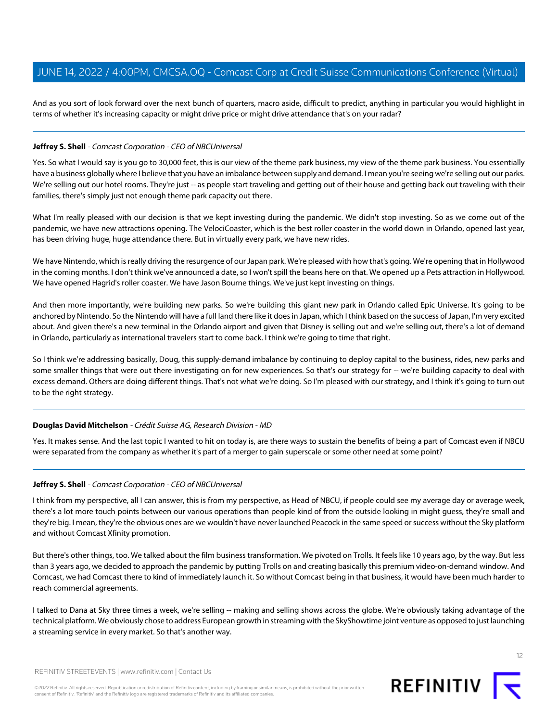And as you sort of look forward over the next bunch of quarters, macro aside, difficult to predict, anything in particular you would highlight in terms of whether it's increasing capacity or might drive price or might drive attendance that's on your radar?

#### **Jeffrey S. Shell** - Comcast Corporation - CEO of NBCUniversal

Yes. So what I would say is you go to 30,000 feet, this is our view of the theme park business, my view of the theme park business. You essentially have a business globally where I believe that you have an imbalance between supply and demand. I mean you're seeing we're selling out our parks. We're selling out our hotel rooms. They're just -- as people start traveling and getting out of their house and getting back out traveling with their families, there's simply just not enough theme park capacity out there.

What I'm really pleased with our decision is that we kept investing during the pandemic. We didn't stop investing. So as we come out of the pandemic, we have new attractions opening. The VelociCoaster, which is the best roller coaster in the world down in Orlando, opened last year, has been driving huge, huge attendance there. But in virtually every park, we have new rides.

We have Nintendo, which is really driving the resurgence of our Japan park. We're pleased with how that's going. We're opening that in Hollywood in the coming months. I don't think we've announced a date, so I won't spill the beans here on that. We opened up a Pets attraction in Hollywood. We have opened Hagrid's roller coaster. We have Jason Bourne things. We've just kept investing on things.

And then more importantly, we're building new parks. So we're building this giant new park in Orlando called Epic Universe. It's going to be anchored by Nintendo. So the Nintendo will have a full land there like it does in Japan, which I think based on the success of Japan, I'm very excited about. And given there's a new terminal in the Orlando airport and given that Disney is selling out and we're selling out, there's a lot of demand in Orlando, particularly as international travelers start to come back. I think we're going to time that right.

So I think we're addressing basically, Doug, this supply-demand imbalance by continuing to deploy capital to the business, rides, new parks and some smaller things that were out there investigating on for new experiences. So that's our strategy for -- we're building capacity to deal with excess demand. Others are doing different things. That's not what we're doing. So I'm pleased with our strategy, and I think it's going to turn out to be the right strategy.

#### **Douglas David Mitchelson** - Crédit Suisse AG, Research Division - MD

Yes. It makes sense. And the last topic I wanted to hit on today is, are there ways to sustain the benefits of being a part of Comcast even if NBCU were separated from the company as whether it's part of a merger to gain superscale or some other need at some point?

#### **Jeffrey S. Shell** - Comcast Corporation - CEO of NBCUniversal

I think from my perspective, all I can answer, this is from my perspective, as Head of NBCU, if people could see my average day or average week, there's a lot more touch points between our various operations than people kind of from the outside looking in might guess, they're small and they're big. I mean, they're the obvious ones are we wouldn't have never launched Peacock in the same speed or success without the Sky platform and without Comcast Xfinity promotion.

But there's other things, too. We talked about the film business transformation. We pivoted on Trolls. It feels like 10 years ago, by the way. But less than 3 years ago, we decided to approach the pandemic by putting Trolls on and creating basically this premium video-on-demand window. And Comcast, we had Comcast there to kind of immediately launch it. So without Comcast being in that business, it would have been much harder to reach commercial agreements.

I talked to Dana at Sky three times a week, we're selling -- making and selling shows across the globe. We're obviously taking advantage of the technical platform. We obviously chose to address European growth in streaming with the SkyShowtime joint venture as opposed to just launching a streaming service in every market. So that's another way.